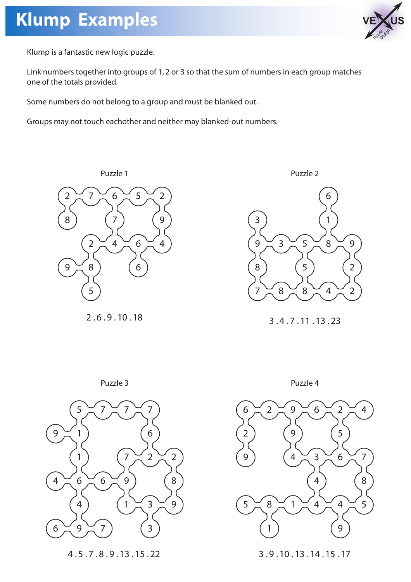## **Klump Examples**



Klump is a fantastic new logic puzzle.

Link numbers together into groups of 1, 2 or 3 so that the sum of numbers in each group matches one of the totals provided.

Some numbers do not belong to a group and must be blanked out.

Groups may not touch eachother and neither may blanked-out numbers.



2 . 6 . 9 . 10 . 18



3 . 4 . 7 . 11 . 13 . 23





4 . 5 . 7 . 8 . 9 . 13 . 15 . 22



3 . 9 . 10 . 13 . 14 . 15 . 17